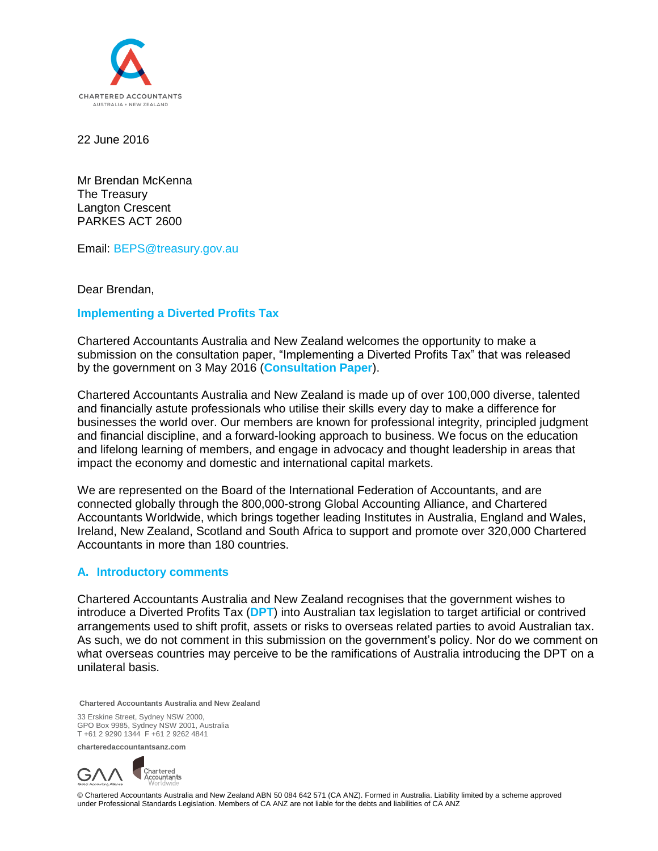

22 June 2016

Mr Brendan McKenna The Treasury Langton Crescent PARKES ACT 2600

Email: [BEPS@treasury.gov.au](mailto:BEPS@treasury.gov.au%20?subject=Submission%20to%20the%20) 

Dear Brendan,

## **Implementing a Diverted Profits Tax**

Chartered Accountants Australia and New Zealand welcomes the opportunity to make a submission on the consultation paper, "Implementing a Diverted Profits Tax" that was released by the government on 3 May 2016 (**Consultation Paper**).

Chartered Accountants Australia and New Zealand is made up of over 100,000 diverse, talented and financially astute professionals who utilise their skills every day to make a difference for businesses the world over. Our members are known for professional integrity, principled judgment and financial discipline, and a forward-looking approach to business. We focus on the education and lifelong learning of members, and engage in advocacy and thought leadership in areas that impact the economy and domestic and international capital markets.

We are represented on the Board of the International Federation of Accountants, and are connected globally through the 800,000-strong Global Accounting Alliance, and Chartered Accountants Worldwide, which brings together leading Institutes in Australia, England and Wales, Ireland, New Zealand, Scotland and South Africa to support and promote over 320,000 Chartered Accountants in more than 180 countries.

#### **A. Introductory comments**

Chartered Accountants Australia and New Zealand recognises that the government wishes to introduce a Diverted Profits Tax (**DPT**) into Australian tax legislation to target artificial or contrived arrangements used to shift profit, assets or risks to overseas related parties to avoid Australian tax. As such, we do not comment in this submission on the government's policy. Nor do we comment on what overseas countries may perceive to be the ramifications of Australia introducing the DPT on a unilateral basis.

**Chartered Accountants Australia and New Zealand**

33 Erskine Street, Sydney NSW 2000, GPO Box 9985, Sydney NSW 2001, Australia T +61 2 9290 1344 F +61 2 9262 4841

**charteredaccountantsanz.com**



© Chartered Accountants Australia and New Zealand ABN 50 084 642 571 (CA ANZ). Formed in Australia. Liability limited by a scheme approved under Professional Standards Legislation. Members of CA ANZ are not liable for the debts and liabilities of CA ANZ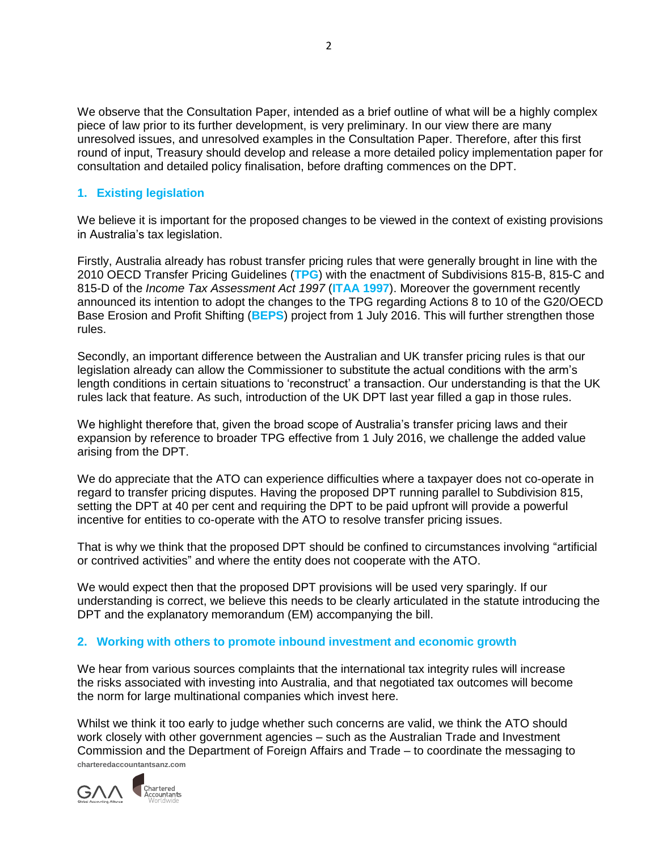We observe that the Consultation Paper, intended as a brief outline of what will be a highly complex piece of law prior to its further development, is very preliminary. In our view there are many unresolved issues, and unresolved examples in the Consultation Paper. Therefore, after this first round of input, Treasury should develop and release a more detailed policy implementation paper for consultation and detailed policy finalisation, before drafting commences on the DPT.

# **1. Existing legislation**

We believe it is important for the proposed changes to be viewed in the context of existing provisions in Australia's tax legislation.

Firstly, Australia already has robust transfer pricing rules that were generally brought in line with the 2010 OECD Transfer Pricing Guidelines (**TPG**) with the enactment of Subdivisions 815-B, 815-C and 815-D of the *Income Tax Assessment Act 1997* (**ITAA 1997**). Moreover the government recently announced its intention to adopt the changes to the TPG regarding Actions 8 to 10 of the G20/OECD Base Erosion and Profit Shifting (**BEPS**) project from 1 July 2016. This will further strengthen those rules.

Secondly, an important difference between the Australian and UK transfer pricing rules is that our legislation already can allow the Commissioner to substitute the actual conditions with the arm's length conditions in certain situations to 'reconstruct' a transaction. Our understanding is that the UK rules lack that feature. As such, introduction of the UK DPT last year filled a gap in those rules.

We highlight therefore that, given the broad scope of Australia's transfer pricing laws and their expansion by reference to broader TPG effective from 1 July 2016, we challenge the added value arising from the DPT.

We do appreciate that the ATO can experience difficulties where a taxpayer does not co-operate in regard to transfer pricing disputes. Having the proposed DPT running parallel to Subdivision 815, setting the DPT at 40 per cent and requiring the DPT to be paid upfront will provide a powerful incentive for entities to co-operate with the ATO to resolve transfer pricing issues.

That is why we think that the proposed DPT should be confined to circumstances involving "artificial or contrived activities" and where the entity does not cooperate with the ATO.

We would expect then that the proposed DPT provisions will be used very sparingly. If our understanding is correct, we believe this needs to be clearly articulated in the statute introducing the DPT and the explanatory memorandum (EM) accompanying the bill.

# **2. Working with others to promote inbound investment and economic growth**

We hear from various sources complaints that the international tax integrity rules will increase the risks associated with investing into Australia, and that negotiated tax outcomes will become the norm for large multinational companies which invest here.

**charteredaccountantsanz.com** Whilst we think it too early to judge whether such concerns are valid, we think the ATO should work closely with other government agencies – such as the Australian Trade and Investment Commission and the Department of Foreign Affairs and Trade – to coordinate the messaging to

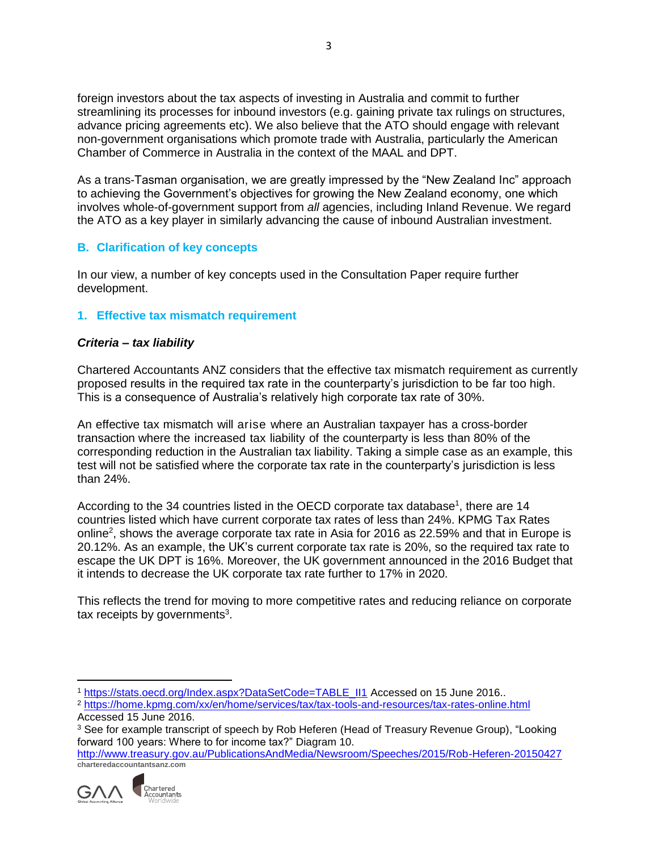foreign investors about the tax aspects of investing in Australia and commit to further streamlining its processes for inbound investors (e.g. gaining private tax rulings on structures, advance pricing agreements etc). We also believe that the ATO should engage with relevant non-government organisations which promote trade with Australia, particularly the American Chamber of Commerce in Australia in the context of the MAAL and DPT.

As a trans-Tasman organisation, we are greatly impressed by the "New Zealand Inc" approach to achieving the Government's objectives for growing the New Zealand economy, one which involves whole-of-government support from *all* agencies, including Inland Revenue. We regard the ATO as a key player in similarly advancing the cause of inbound Australian investment.

# **B. Clarification of key concepts**

In our view, a number of key concepts used in the Consultation Paper require further development.

# **1. Effective tax mismatch requirement**

## *Criteria – tax liability*

Chartered Accountants ANZ considers that the effective tax mismatch requirement as currently proposed results in the required tax rate in the counterparty's jurisdiction to be far too high. This is a consequence of Australia's relatively high corporate tax rate of 30%.

An effective tax mismatch will arise where an Australian taxpayer has a cross-border transaction where the increased tax liability of the counterparty is less than 80% of the corresponding reduction in the Australian tax liability. Taking a simple case as an example, this test will not be satisfied where the corporate tax rate in the counterparty's jurisdiction is less than 24%.

According to the 34 countries listed in the OECD corporate tax database<sup>1</sup>, there are 14 countries listed which have current corporate tax rates of less than 24%. KPMG Tax Rates online<sup>2</sup>, shows the average corporate tax rate in Asia for 2016 as 22.59% and that in Europe is 20.12%. As an example, the UK's current corporate tax rate is 20%, so the required tax rate to escape the UK DPT is 16%. Moreover, the UK government announced in the 2016 Budget that it intends to decrease the UK corporate tax rate further to 17% in 2020.

This reflects the trend for moving to more competitive rates and reducing reliance on corporate tax receipts by governments<sup>3</sup>.

**charteredaccountantsanz.com** <http://www.treasury.gov.au/PublicationsAndMedia/Newsroom/Speeches/2015/Rob-Heferen-20150427>



 $\overline{a}$ 

<sup>1</sup> [https://stats.oecd.org/Index.aspx?DataSetCode=TABLE\\_II1](https://stats.oecd.org/Index.aspx?DataSetCode=TABLE_II1) Accessed on 15 June 2016..

<sup>2</sup> <https://home.kpmg.com/xx/en/home/services/tax/tax-tools-and-resources/tax-rates-online.html> Accessed 15 June 2016.

<sup>&</sup>lt;sup>3</sup> See for example transcript of speech by Rob Heferen (Head of Treasury Revenue Group), "Looking forward 100 years: Where to for income tax?" Diagram 10.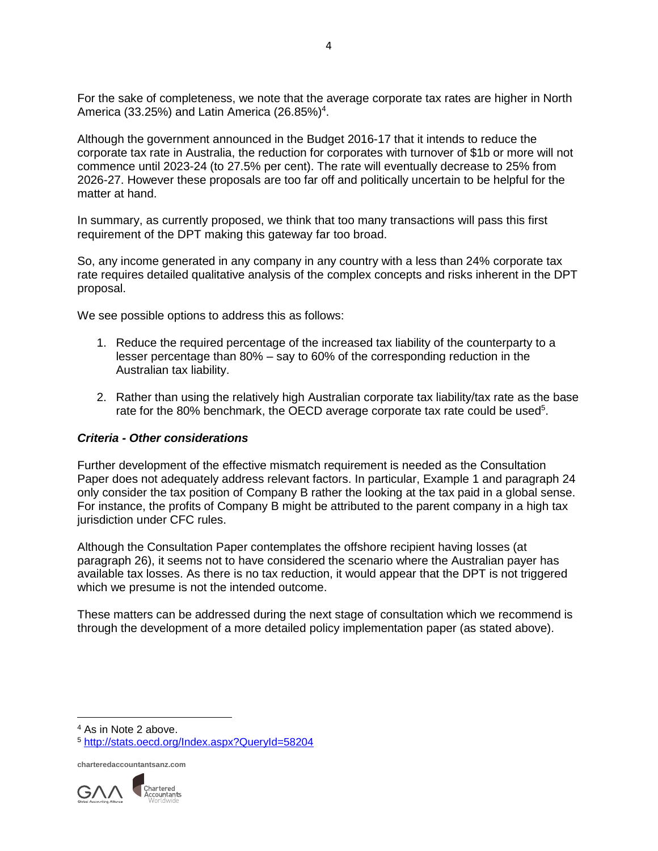For the sake of completeness, we note that the average corporate tax rates are higher in North America (33.25%) and Latin America (26.85%)<sup>4</sup>.

Although the government announced in the Budget 2016-17 that it intends to reduce the corporate tax rate in Australia, the reduction for corporates with turnover of \$1b or more will not commence until 2023-24 (to 27.5% per cent). The rate will eventually decrease to 25% from 2026-27. However these proposals are too far off and politically uncertain to be helpful for the matter at hand.

In summary, as currently proposed, we think that too many transactions will pass this first requirement of the DPT making this gateway far too broad.

So, any income generated in any company in any country with a less than 24% corporate tax rate requires detailed qualitative analysis of the complex concepts and risks inherent in the DPT proposal.

We see possible options to address this as follows:

- 1. Reduce the required percentage of the increased tax liability of the counterparty to a lesser percentage than 80% – say to 60% of the corresponding reduction in the Australian tax liability.
- 2. Rather than using the relatively high Australian corporate tax liability/tax rate as the base rate for the 80% benchmark, the OECD average corporate tax rate could be used<sup>5</sup>.

#### *Criteria - Other considerations*

Further development of the effective mismatch requirement is needed as the Consultation Paper does not adequately address relevant factors. In particular, Example 1 and paragraph 24 only consider the tax position of Company B rather the looking at the tax paid in a global sense. For instance, the profits of Company B might be attributed to the parent company in a high tax jurisdiction under CFC rules.

Although the Consultation Paper contemplates the offshore recipient having losses (at paragraph 26), it seems not to have considered the scenario where the Australian payer has available tax losses. As there is no tax reduction, it would appear that the DPT is not triggered which we presume is not the intended outcome.

These matters can be addressed during the next stage of consultation which we recommend is through the development of a more detailed policy implementation paper (as stated above).

<sup>4</sup> As in Note 2 above.

 $\overline{\phantom{a}}$ 



<sup>5</sup> <http://stats.oecd.org/Index.aspx?QueryId=58204>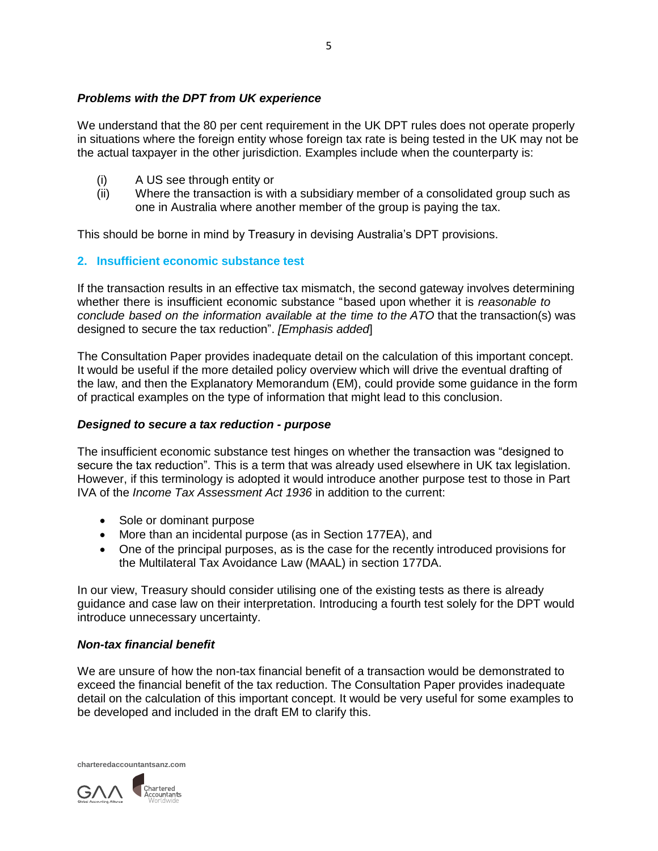## *Problems with the DPT from UK experience*

We understand that the 80 per cent requirement in the UK DPT rules does not operate properly in situations where the foreign entity whose foreign tax rate is being tested in the UK may not be the actual taxpayer in the other jurisdiction. Examples include when the counterparty is:

- (i) A US see through entity or
- (ii) Where the transaction is with a subsidiary member of a consolidated group such as one in Australia where another member of the group is paying the tax.

This should be borne in mind by Treasury in devising Australia's DPT provisions.

### **2. Insufficient economic substance test**

If the transaction results in an effective tax mismatch, the second gateway involves determining whether there is insufficient economic substance "based upon whether it is *reasonable to conclude based on the information available at the time to the ATO* that the transaction(s) was designed to secure the tax reduction". *[Emphasis added*]

The Consultation Paper provides inadequate detail on the calculation of this important concept. It would be useful if the more detailed policy overview which will drive the eventual drafting of the law, and then the Explanatory Memorandum (EM), could provide some guidance in the form of practical examples on the type of information that might lead to this conclusion.

### *Designed to secure a tax reduction - purpose*

The insufficient economic substance test hinges on whether the transaction was "designed to secure the tax reduction". This is a term that was already used elsewhere in UK tax legislation. However, if this terminology is adopted it would introduce another purpose test to those in Part IVA of the *Income Tax Assessment Act 1936* in addition to the current:

- Sole or dominant purpose
- More than an incidental purpose (as in Section 177EA), and
- One of the principal purposes, as is the case for the recently introduced provisions for the Multilateral Tax Avoidance Law (MAAL) in section 177DA.

In our view, Treasury should consider utilising one of the existing tests as there is already guidance and case law on their interpretation. Introducing a fourth test solely for the DPT would introduce unnecessary uncertainty.

#### *Non-tax financial benefit*

We are unsure of how the non-tax financial benefit of a transaction would be demonstrated to exceed the financial benefit of the tax reduction. The Consultation Paper provides inadequate detail on the calculation of this important concept. It would be very useful for some examples to be developed and included in the draft EM to clarify this.

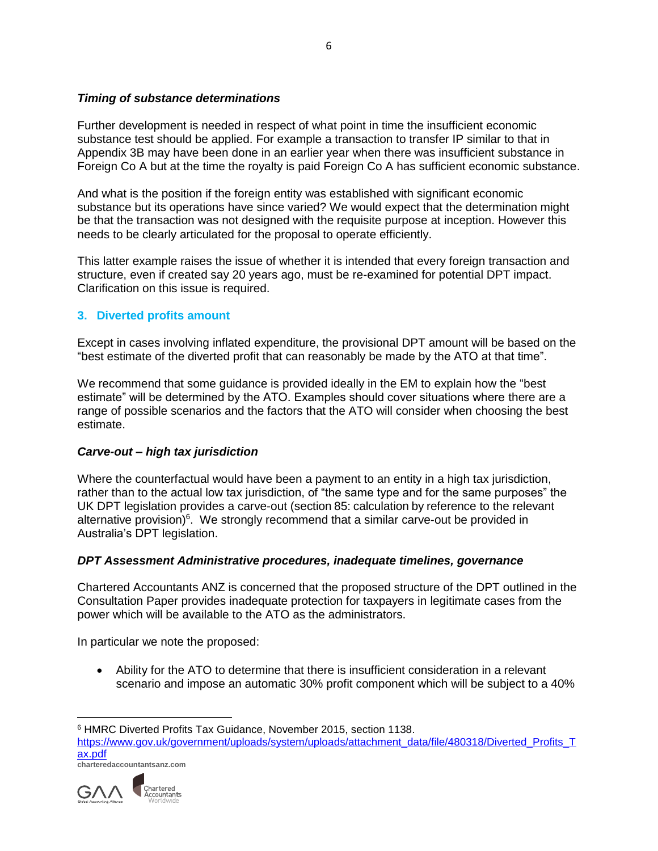## *Timing of substance determinations*

Further development is needed in respect of what point in time the insufficient economic substance test should be applied. For example a transaction to transfer IP similar to that in Appendix 3B may have been done in an earlier year when there was insufficient substance in Foreign Co A but at the time the royalty is paid Foreign Co A has sufficient economic substance.

And what is the position if the foreign entity was established with significant economic substance but its operations have since varied? We would expect that the determination might be that the transaction was not designed with the requisite purpose at inception. However this needs to be clearly articulated for the proposal to operate efficiently.

This latter example raises the issue of whether it is intended that every foreign transaction and structure, even if created say 20 years ago, must be re-examined for potential DPT impact. Clarification on this issue is required.

# **3. Diverted profits amount**

Except in cases involving inflated expenditure, the provisional DPT amount will be based on the "best estimate of the diverted profit that can reasonably be made by the ATO at that time".

We recommend that some guidance is provided ideally in the EM to explain how the "best estimate" will be determined by the ATO. Examples should cover situations where there are a range of possible scenarios and the factors that the ATO will consider when choosing the best estimate.

## *Carve-out – high tax jurisdiction*

Where the counterfactual would have been a payment to an entity in a high tax jurisdiction, rather than to the actual low tax jurisdiction, of "the same type and for the same purposes" the UK DPT legislation provides a carve-out (section 85: calculation by reference to the relevant alternative provision)<sup>6</sup>. We strongly recommend that a similar carve-out be provided in Australia's DPT legislation.

## *DPT Assessment Administrative procedures, inadequate timelines, governance*

Chartered Accountants ANZ is concerned that the proposed structure of the DPT outlined in the Consultation Paper provides inadequate protection for taxpayers in legitimate cases from the power which will be available to the ATO as the administrators.

In particular we note the proposed:

 Ability for the ATO to determine that there is insufficient consideration in a relevant scenario and impose an automatic 30% profit component which will be subject to a 40%

**charteredaccountantsanz.com**



 $\overline{\phantom{a}}$ 

<sup>6</sup> HMRC Diverted Profits Tax Guidance, November 2015, section 1138.

[https://www.gov.uk/government/uploads/system/uploads/attachment\\_data/file/480318/Diverted\\_Profits\\_T](https://www.gov.uk/government/uploads/system/uploads/attachment_data/file/480318/Diverted_Profits_Tax.pdf) [ax.pdf](https://www.gov.uk/government/uploads/system/uploads/attachment_data/file/480318/Diverted_Profits_Tax.pdf)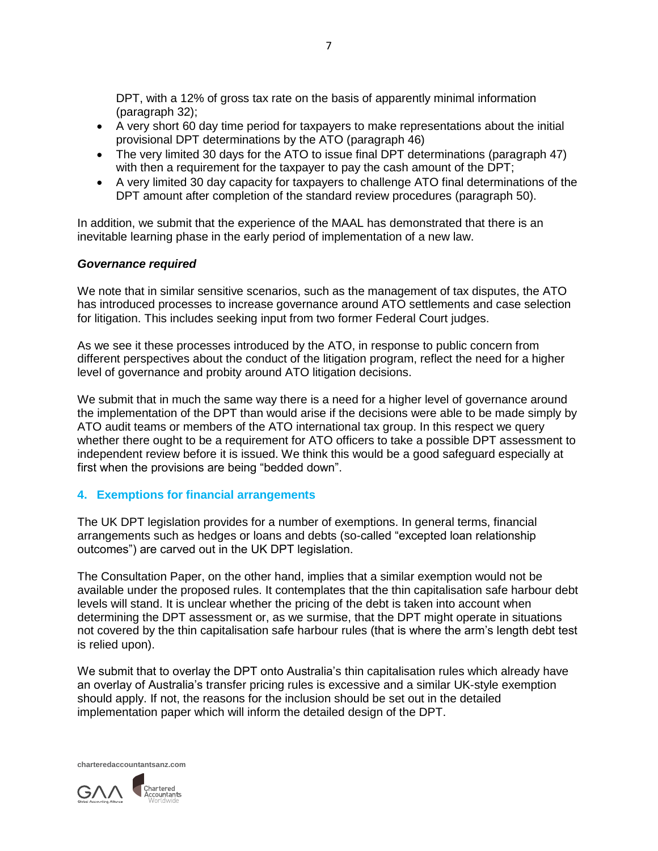DPT, with a 12% of gross tax rate on the basis of apparently minimal information (paragraph 32);

- A very short 60 day time period for taxpayers to make representations about the initial provisional DPT determinations by the ATO (paragraph 46)
- The very limited 30 days for the ATO to issue final DPT determinations (paragraph 47) with then a requirement for the taxpayer to pay the cash amount of the DPT;
- A very limited 30 day capacity for taxpayers to challenge ATO final determinations of the DPT amount after completion of the standard review procedures (paragraph 50).

In addition, we submit that the experience of the MAAL has demonstrated that there is an inevitable learning phase in the early period of implementation of a new law.

### *Governance required*

We note that in similar sensitive scenarios, such as the management of tax disputes, the ATO has introduced processes to increase governance around ATO settlements and case selection for litigation. This includes seeking input from two former Federal Court judges.

As we see it these processes introduced by the ATO, in response to public concern from different perspectives about the conduct of the litigation program, reflect the need for a higher level of governance and probity around ATO litigation decisions.

We submit that in much the same way there is a need for a higher level of governance around the implementation of the DPT than would arise if the decisions were able to be made simply by ATO audit teams or members of the ATO international tax group. In this respect we query whether there ought to be a requirement for ATO officers to take a possible DPT assessment to independent review before it is issued. We think this would be a good safeguard especially at first when the provisions are being "bedded down".

## **4. Exemptions for financial arrangements**

The UK DPT legislation provides for a number of exemptions. In general terms, financial arrangements such as hedges or loans and debts (so-called "excepted loan relationship outcomes") are carved out in the UK DPT legislation.

The Consultation Paper, on the other hand, implies that a similar exemption would not be available under the proposed rules. It contemplates that the thin capitalisation safe harbour debt levels will stand. It is unclear whether the pricing of the debt is taken into account when determining the DPT assessment or, as we surmise, that the DPT might operate in situations not covered by the thin capitalisation safe harbour rules (that is where the arm's length debt test is relied upon).

We submit that to overlay the DPT onto Australia's thin capitalisation rules which already have an overlay of Australia's transfer pricing rules is excessive and a similar UK-style exemption should apply. If not, the reasons for the inclusion should be set out in the detailed implementation paper which will inform the detailed design of the DPT.

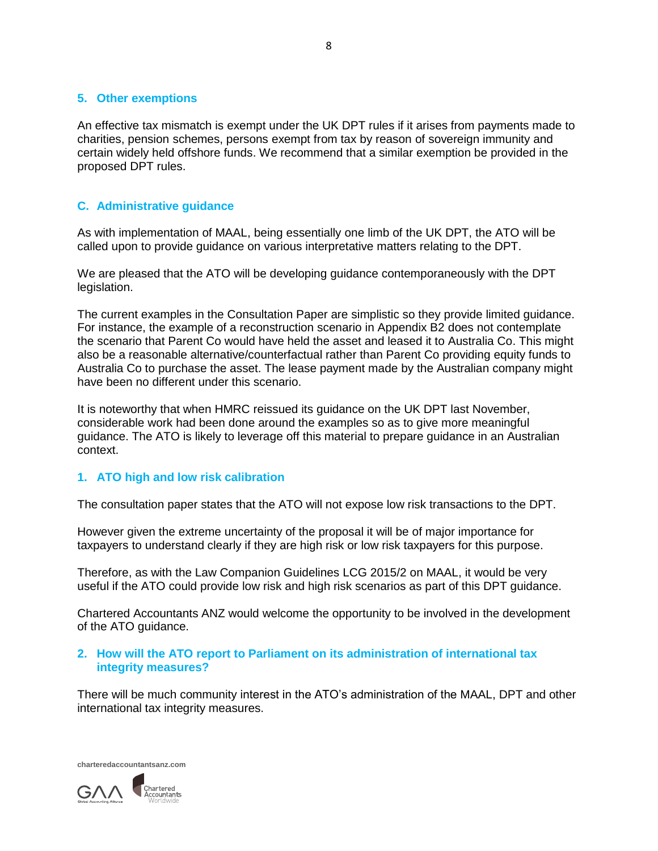#### **5. Other exemptions**

An effective tax mismatch is exempt under the UK DPT rules if it arises from payments made to charities, pension schemes, persons exempt from tax by reason of sovereign immunity and certain widely held offshore funds. We recommend that a similar exemption be provided in the proposed DPT rules.

## **C. Administrative guidance**

As with implementation of MAAL, being essentially one limb of the UK DPT, the ATO will be called upon to provide guidance on various interpretative matters relating to the DPT.

We are pleased that the ATO will be developing guidance contemporaneously with the DPT legislation.

The current examples in the Consultation Paper are simplistic so they provide limited guidance. For instance, the example of a reconstruction scenario in Appendix B2 does not contemplate the scenario that Parent Co would have held the asset and leased it to Australia Co. This might also be a reasonable alternative/counterfactual rather than Parent Co providing equity funds to Australia Co to purchase the asset. The lease payment made by the Australian company might have been no different under this scenario.

It is noteworthy that when HMRC reissued its guidance on the UK DPT last November, considerable work had been done around the examples so as to give more meaningful guidance. The ATO is likely to leverage off this material to prepare guidance in an Australian context.

#### **1. ATO high and low risk calibration**

The consultation paper states that the ATO will not expose low risk transactions to the DPT.

However given the extreme uncertainty of the proposal it will be of major importance for taxpayers to understand clearly if they are high risk or low risk taxpayers for this purpose.

Therefore, as with the Law Companion Guidelines LCG 2015/2 on MAAL, it would be very useful if the ATO could provide low risk and high risk scenarios as part of this DPT guidance.

Chartered Accountants ANZ would welcome the opportunity to be involved in the development of the ATO guidance.

### **2. How will the ATO report to Parliament on its administration of international tax integrity measures?**

There will be much community interest in the ATO's administration of the MAAL, DPT and other international tax integrity measures.

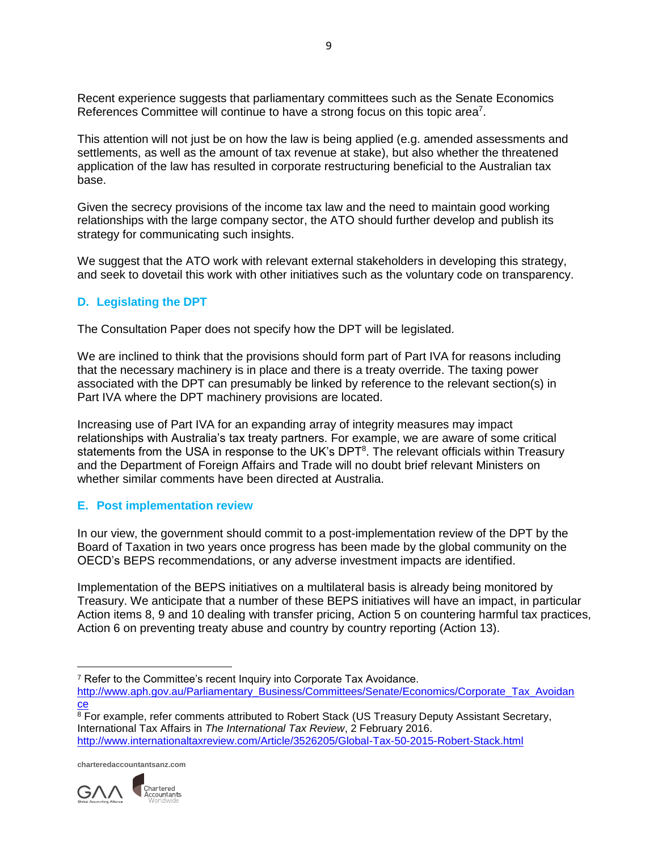Recent experience suggests that parliamentary committees such as the Senate Economics References Committee will continue to have a strong focus on this topic area<sup>7</sup>.

This attention will not just be on how the law is being applied (e.g. amended assessments and settlements, as well as the amount of tax revenue at stake), but also whether the threatened application of the law has resulted in corporate restructuring beneficial to the Australian tax base.

Given the secrecy provisions of the income tax law and the need to maintain good working relationships with the large company sector, the ATO should further develop and publish its strategy for communicating such insights.

We suggest that the ATO work with relevant external stakeholders in developing this strategy, and seek to dovetail this work with other initiatives such as the voluntary code on transparency.

## **D. Legislating the DPT**

The Consultation Paper does not specify how the DPT will be legislated.

We are inclined to think that the provisions should form part of Part IVA for reasons including that the necessary machinery is in place and there is a treaty override. The taxing power associated with the DPT can presumably be linked by reference to the relevant section(s) in Part IVA where the DPT machinery provisions are located.

Increasing use of Part IVA for an expanding array of integrity measures may impact relationships with Australia's tax treaty partners. For example, we are aware of some critical statements from the USA in response to the UK's DPT<sup>8</sup>. The relevant officials within Treasury and the Department of Foreign Affairs and Trade will no doubt brief relevant Ministers on whether similar comments have been directed at Australia.

## **E. Post implementation review**

In our view, the government should commit to a post-implementation review of the DPT by the Board of Taxation in two years once progress has been made by the global community on the OECD's BEPS recommendations, or any adverse investment impacts are identified.

Implementation of the BEPS initiatives on a multilateral basis is already being monitored by Treasury. We anticipate that a number of these BEPS initiatives will have an impact, in particular Action items 8, 9 and 10 dealing with transfer pricing, Action 5 on countering harmful tax practices, Action 6 on preventing treaty abuse and country by country reporting (Action 13).

[http://www.aph.gov.au/Parliamentary\\_Business/Committees/Senate/Economics/Corporate\\_Tax\\_Avoidan](http://www.aph.gov.au/Parliamentary_Business/Committees/Senate/Economics/Corporate_Tax_Avoidance) [ce](http://www.aph.gov.au/Parliamentary_Business/Committees/Senate/Economics/Corporate_Tax_Avoidance)

<sup>8</sup> For example, refer comments attributed to Robert Stack (US Treasury Deputy Assistant Secretary, International Tax Affairs in *The International Tax Review*, 2 February 2016. <http://www.internationaltaxreview.com/Article/3526205/Global-Tax-50-2015-Robert-Stack.html>



l <sup>7</sup> Refer to the Committee's recent Inquiry into Corporate Tax Avoidance.